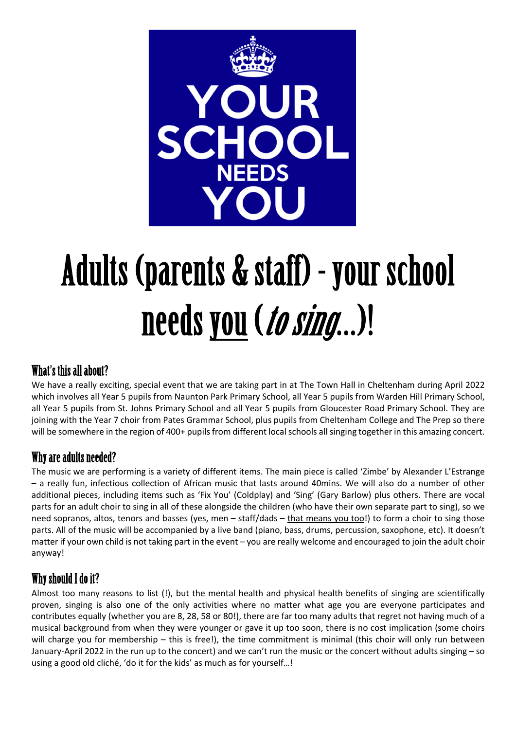

# Adults (parents & staff) - your school needs you (*to sing*...)!

### What's this all about?

We have a really exciting, special event that we are taking part in at The Town Hall in Cheltenham during April 2022 which involves all Year 5 pupils from Naunton Park Primary School, all Year 5 pupils from Warden Hill Primary School, all Year 5 pupils from St. Johns Primary School and all Year 5 pupils from Gloucester Road Primary School. They are joining with the Year 7 choir from Pates Grammar School, plus pupils from Cheltenham College and The Prep so there will be somewhere in the region of 400+ pupils from different local schools all singing together in this amazing concert.

#### Why are adults needed?

The music we are performing is a variety of different items. The main piece is called 'Zimbe' by Alexander L'Estrange – a really fun, infectious collection of African music that lasts around 40mins. We will also do a number of other additional pieces, including items such as 'Fix You' (Coldplay) and 'Sing' (Gary Barlow) plus others. There are vocal parts for an adult choir to sing in all of these alongside the children (who have their own separate part to sing), so we need sopranos, altos, tenors and basses (yes, men – staff/dads – that means you too!) to form a choir to sing those parts. All of the music will be accompanied by a live band (piano, bass, drums, percussion, saxophone, etc). It doesn't matter if your own child is not taking part in the event – you are really welcome and encouraged to join the adult choir anyway!

# Why should I do it?

Almost too many reasons to list (!), but the mental health and physical health benefits of singing are scientifically proven, singing is also one of the only activities where no matter what age you are everyone participates and contributes equally (whether you are 8, 28, 58 or 80!), there are far too many adults that regret not having much of a musical background from when they were younger or gave it up too soon, there is no cost implication (some choirs will charge you for membership – this is free!), the time commitment is minimal (this choir will only run between January-April 2022 in the run up to the concert) and we can't run the music or the concert without adults singing – so using a good old cliché, 'do it for the kids' as much as for yourself…!